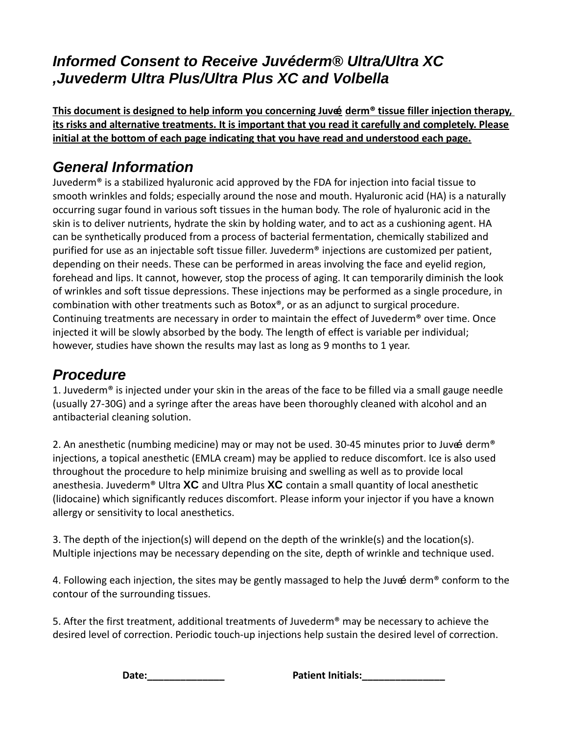### **Informed Consent to Receive Juv***é***derm® Ultra/Ultra XC ,Juvederm Ultra Plus/Ultra Plus XC and Volbella**

 **This document is designed to help inform you concerning Juvee derm® tissue filler injection therapy, its risks and alternative treatments. It is important that you read it carefully and completely. Please initial at the bottom of each page indicating that you have read and understood each page.**

### **General Information**

Juvederm® is a stabilized hyaluronic acid approved by the FDA for injection into facial tissue to smooth wrinkles and folds; especially around the nose and mouth. Hyaluronic acid (HA) is a naturally occurring sugar found in various soft tissues in the human body. The role of hyaluronic acid in the skin is to deliver nutrients, hydrate the skin by holding water, and to act as a cushioning agent. HA can be synthetically produced from a process of bacterial fermentation, chemically stabilized and purified for use as an injectable soft tissue filler. Juvederm® injections are customized per patient, depending on their needs. These can be performed in areas involving the face and eyelid region, forehead and lips. It cannot, however, stop the process of aging. It can temporarily diminish the look of wrinkles and soft tissue depressions. These injections may be performed as a single procedure, in combination with other treatments such as Botox®, or as an adjunct to surgical procedure. Continuing treatments are necessary in order to maintain the effect of Juvederm® over time. Once injected it will be slowly absorbed by the body. The length of effect is variable per individual; however, studies have shown the results may last as long as 9 months to 1 year.

### **Procedure**

1. Juvederm<sup>®</sup> is injected under your skin in the areas of the face to be filled via a small gauge needle (usually 27‐30G) and a syringe after the areas have been thoroughly cleaned with alcohol and an antibacterial cleaning solution.

2. An anesthetic (numbing medicine) may or may not be used. 30-45 minutes prior to Juve derm<sup>®</sup> injections, a topical anesthetic (EMLA cream) may be applied to reduce discomfort. Ice is also used throughout the procedure to help minimize bruising and swelling as well as to provide local anesthesia. Juvederm® Ultra **XC** and Ultra Plus **XC** contain a small quantity of local anesthetic (lidocaine) which significantly reduces discomfort. Please inform your injector if you have a known allergy or sensitivity to local anesthetics.

3. The depth of the injection(s) will depend on the depth of the wrinkle(s) and the location(s). Multiple injections may be necessary depending on the site, depth of wrinkle and technique used.

4. Following each injection, the sites may be gently massaged to help the Juve derm<sup>®</sup> conform to the contour of the surrounding tissues.

5. After the first treatment, additional treatments of Juvederm<sup>®</sup> may be necessary to achieve the desired level of correction. Periodic touch‐up injections help sustain the desired level of correction.

**Date:\_\_\_\_\_\_\_\_\_\_\_\_\_\_ Patient Initials:\_\_\_\_\_\_\_\_\_\_\_\_\_\_\_**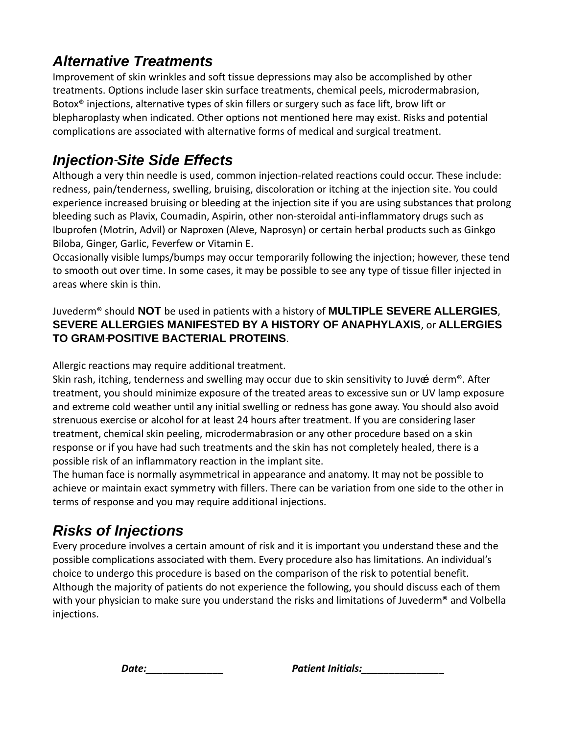## **Alternative Treatments**

Improvement of skin wrinkles and soft tissue depressions may also be accomplished by other treatments. Options include laser skin surface treatments, chemical peels, microdermabrasion, Botox® injections, alternative types of skin fillers or surgery such as face lift, brow lift or blepharoplasty when indicated. Other options not mentioned here may exist. Risks and potential complications are associated with alternative forms of medical and surgical treatment.

## **Injection**‐**Site Side Effects**

Although a very thin needle is used, common injection‐related reactions could occur. These include: redness, pain/tenderness, swelling, bruising, discoloration or itching at the injection site. You could experience increased bruising or bleeding at the injection site if you are using substances that prolong bleeding such as Plavix, Coumadin, Aspirin, other non‐steroidal anti‐inflammatory drugs such as Ibuprofen (Motrin, Advil) or Naproxen (Aleve, Naprosyn) or certain herbal products such as Ginkgo Biloba, Ginger, Garlic, Feverfew or Vitamin E.

Occasionally visible lumps/bumps may occur temporarily following the injection; however, these tend to smooth out over time. In some cases, it may be possible to see any type of tissue filler injected in areas where skin is thin.

#### Juvederm® should **NOT** be used in patients with a history of **MULTIPLE SEVERE ALLERGIES**, **SEVERE ALLERGIES MANIFESTED BY A HISTORY OF ANAPHYLAXIS**, or **ALLERGIES TO GRAM**‐**POSITIVE BACTERIAL PROTEINS**.

Allergic reactions may require additional treatment.

Skin rash, itching, tenderness and swelling may occur due to skin sensitivity to Juve derm<sup>®</sup>. After treatment, you should minimize exposure of the treated areas to excessive sun or UV lamp exposure and extreme cold weather until any initial swelling or redness has gone away. You should also avoid strenuous exercise or alcohol for at least 24 hours after treatment. If you are considering laser treatment, chemical skin peeling, microdermabrasion or any other procedure based on a skin response or if you have had such treatments and the skin has not completely healed, there is a possible risk of an inflammatory reaction in the implant site.

The human face is normally asymmetrical in appearance and anatomy. It may not be possible to achieve or maintain exact symmetry with fillers. There can be variation from one side to the other in terms of response and you may require additional injections.

## **Risks of Injections**

Every procedure involves a certain amount of risk and it is important you understand these and the possible complications associated with them. Every procedure also has limitations. An individual's choice to undergo this procedure is based on the comparison of the risk to potential benefit. Although the majority of patients do not experience the following, you should discuss each of them with your physician to make sure you understand the risks and limitations of Juvederm® and Volbella injections.

*Date:\_\_\_\_\_\_\_\_\_\_\_\_\_\_ Patient Initials:\_\_\_\_\_\_\_\_\_\_\_\_\_\_\_*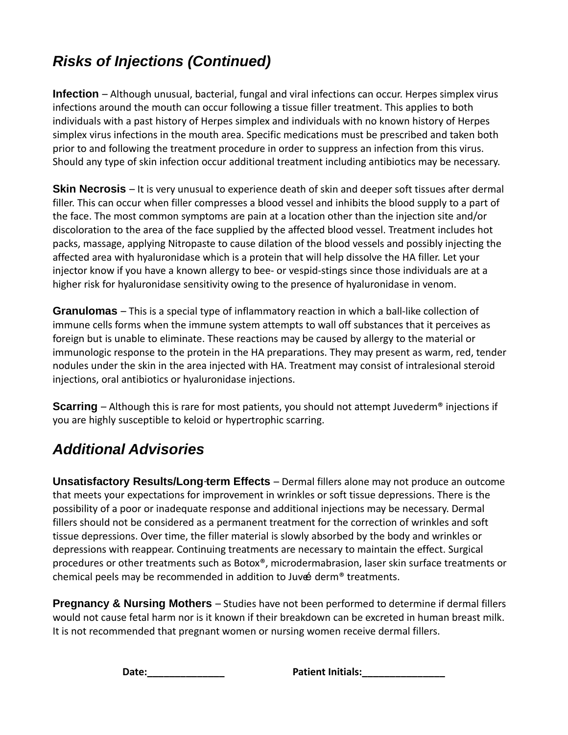# **Risks of Injections (Continued)**

**Infection** – Although unusual, bacterial, fungal and viral infections can occur. Herpes simplex virus infections around the mouth can occur following a tissue filler treatment. This applies to both individuals with a past history of Herpes simplex and individuals with no known history of Herpes simplex virus infections in the mouth area. Specific medications must be prescribed and taken both prior to and following the treatment procedure in order to suppress an infection from this virus. Should any type of skin infection occur additional treatment including antibiotics may be necessary.

**Skin Necrosis** – It is very unusual to experience death of skin and deeper soft tissues after dermal filler. This can occur when filler compresses a blood vessel and inhibits the blood supply to a part of the face. The most common symptoms are pain at a location other than the injection site and/or discoloration to the area of the face supplied by the affected blood vessel. Treatment includes hot packs, massage, applying Nitropaste to cause dilation of the blood vessels and possibly injecting the affected area with hyaluronidase which is a protein that will help dissolve the HA filler. Let your injector know if you have a known allergy to bee‐ or vespid‐stings since those individuals are at a higher risk for hyaluronidase sensitivity owing to the presence of hyaluronidase in venom.

**Granulomas** – This is a special type of inflammatory reaction in which a ball‐like collection of immune cells forms when the immune system attempts to wall off substances that it perceives as foreign but is unable to eliminate. These reactions may be caused by allergy to the material or immunologic response to the protein in the HA preparations. They may present as warm, red, tender nodules under the skin in the area injected with HA. Treatment may consist of intralesional steroid injections, oral antibiotics or hyaluronidase injections.

**Scarring** – Although this is rare for most patients, you should not attempt Juvederm® injections if you are highly susceptible to keloid or hypertrophic scarring.

## **Additional Advisories**

**Unsatisfactory Results/Long**‐**term Effects** – Dermal fillers alone may not produce an outcome that meets your expectations for improvement in wrinkles or soft tissue depressions. There is the possibility of a poor or inadequate response and additional injections may be necessary. Dermal fillers should not be considered as a permanent treatment for the correction of wrinkles and soft tissue depressions. Over time, the filler material is slowly absorbed by the body and wrinkles or depressions with reappear. Continuing treatments are necessary to maintain the effect. Surgical procedures or other treatments such as Botox®, microdermabrasion, laser skin surface treatments or chemical peels may be recommended in addition to Juve derm<sup>®</sup> treatments.

**Pregnancy & Nursing Mothers** – Studies have not been performed to determine if dermal fillers would not cause fetal harm nor is it known if their breakdown can be excreted in human breast milk. It is not recommended that pregnant women or nursing women receive dermal fillers.

**Date:\_\_\_\_\_\_\_\_\_\_\_\_\_\_ Patient Initials:\_\_\_\_\_\_\_\_\_\_\_\_\_\_\_**